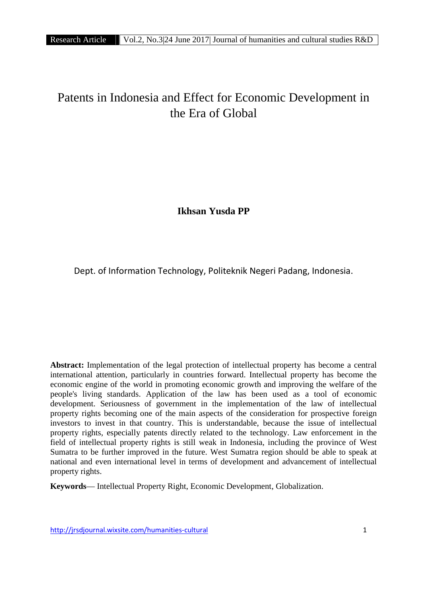# Patents in Indonesia and Effect for Economic Development in the Era of Global

**Ikhsan Yusda PP**

Dept. of Information Technology, Politeknik Negeri Padang, Indonesia.

**Abstract:** Implementation of the legal protection of intellectual property has become a central international attention, particularly in countries forward. Intellectual property has become the economic engine of the world in promoting economic growth and improving the welfare of the people's living standards. Application of the law has been used as a tool of economic development. Seriousness of government in the implementation of the law of intellectual property rights becoming one of the main aspects of the consideration for prospective foreign investors to invest in that country. This is understandable, because the issue of intellectual property rights, especially patents directly related to the technology. Law enforcement in the field of intellectual property rights is still weak in Indonesia, including the province of West Sumatra to be further improved in the future. West Sumatra region should be able to speak at national and even international level in terms of development and advancement of intellectual property rights.

**Keywords**— Intellectual Property Right, Economic Development, Globalization.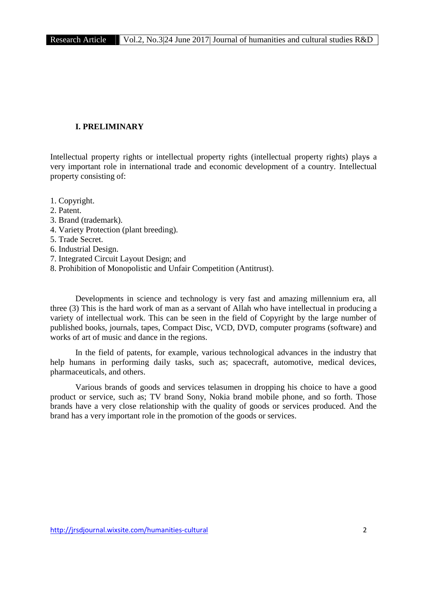# **I. PRELIMINARY**

Intellectual property rights or intellectual property rights (intellectual property rights) plays a very important role in international trade and economic development of a country. Intellectual property consisting of:

- 1. Copyright.
- 2. Patent.
- 3. Brand (trademark).
- 4. Variety Protection (plant breeding).
- 5. Trade Secret.
- 6. Industrial Design.
- 7. Integrated Circuit Layout Design; and
- 8. Prohibition of Monopolistic and Unfair Competition (Antitrust).

Developments in science and technology is very fast and amazing millennium era, all three (3) This is the hard work of man as a servant of Allah who have intellectual in producing a variety of intellectual work. This can be seen in the field of Copyright by the large number of published books, journals, tapes, Compact Disc, VCD, DVD, computer programs (software) and works of art of music and dance in the regions.

In the field of patents, for example, various technological advances in the industry that help humans in performing daily tasks, such as; spacecraft, automotive, medical devices, pharmaceuticals, and others.

Various brands of goods and services telasumen in dropping his choice to have a good product or service, such as; TV brand Sony, Nokia brand mobile phone, and so forth. Those brands have a very close relationship with the quality of goods or services produced. And the brand has a very important role in the promotion of the goods or services.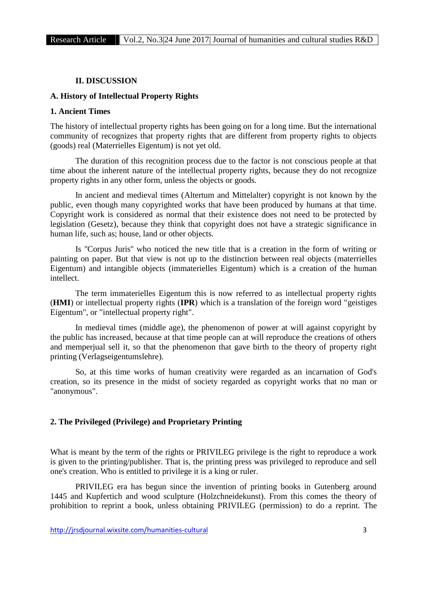# **II. DISCUSSION**

### **A. History of Intellectual Property Rights**

# **1. Ancient Times**

The history of intellectual property rights has been going on for a long time. But the international community of recognizes that property rights that are different from property rights to objects (goods) real (Materrielles Eigentum) is not yet old.

The duration of this recognition process due to the factor is not conscious people at that time about the inherent nature of the intellectual property rights, because they do not recognize property rights in any other form, unless the objects or goods.

In ancient and medieval times (Altertum and Mittelalter) copyright is not known by the public, even though many copyrighted works that have been produced by humans at that time. Copyright work is considered as normal that their existence does not need to be protected by legislation (Gesetz), because they think that copyright does not have a strategic significance in human life, such as; house, land or other objects.

Is ''Corpus Juris'' who noticed the new title that is a creation in the form of writing or painting on paper. But that view is not up to the distinction between real objects (materrielles Eigentum) and intangible objects (immaterielles Eigentum) which is a creation of the human intellect.

The term immaterielles Eigentum this is now referred to as intellectual property rights (**HMI**) or intellectual property rights (**IPR**) which is a translation of the foreign word "geistiges Eigentum", or "intellectual property right".

In medieval times (middle age), the phenomenon of power at will against copyright by the public has increased, because at that time people can at will reproduce the creations of others and memperjual sell it, so that the phenomenon that gave birth to the theory of property right printing (Verlagseigentumslehre).

So, at this time works of human creativity were regarded as an incarnation of God's creation, so its presence in the midst of society regarded as copyright works that no man or "anonymous".

# **2. The Privileged (Privilege) and Proprietary Printing**

What is meant by the term of the rights or PRIVILEG privilege is the right to reproduce a work is given to the printing/publisher. That is, the printing press was privileged to reproduce and sell one's creation. Who is entitled to privilege it is a king or ruler.

PRIVILEG era has begun since the invention of printing books in Gutenberg around 1445 and Kupfertich and wood sculpture (Holzchneidekunst). From this comes the theory of prohibition to reprint a book, unless obtaining PRIVILEG (permission) to do a reprint. The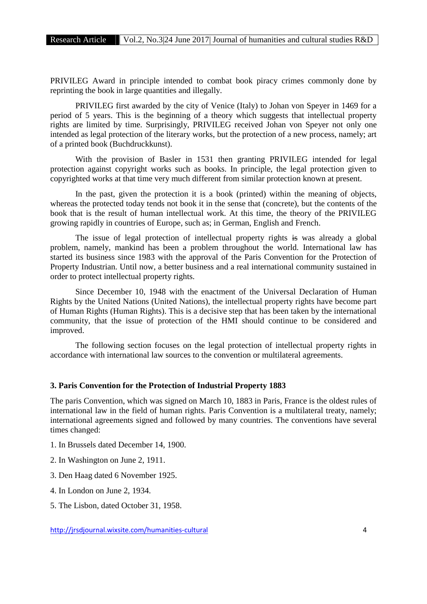PRIVILEG Award in principle intended to combat book piracy crimes commonly done by reprinting the book in large quantities and illegally.

PRIVILEG first awarded by the city of Venice (Italy) to Johan von Speyer in 1469 for a period of 5 years. This is the beginning of a theory which suggests that intellectual property rights are limited by time. Surprisingly, PRIVILEG received Johan von Speyer not only one intended as legal protection of the literary works, but the protection of a new process, namely; art of a printed book (Buchdruckkunst).

With the provision of Basler in 1531 then granting PRIVILEG intended for legal protection against copyright works such as books. In principle, the legal protection given to copyrighted works at that time very much different from similar protection known at present.

In the past, given the protection it is a book (printed) within the meaning of objects, whereas the protected today tends not book it in the sense that (concrete), but the contents of the book that is the result of human intellectual work. At this time, the theory of the PRIVILEG growing rapidly in countries of Europe, such as; in German, English and French.

The issue of legal protection of intellectual property rights is was already a global problem, namely, mankind has been a problem throughout the world. International law has started its business since 1983 with the approval of the Paris Convention for the Protection of Property Industrian. Until now, a better business and a real international community sustained in order to protect intellectual property rights.

Since December 10, 1948 with the enactment of the Universal Declaration of Human Rights by the United Nations (United Nations), the intellectual property rights have become part of Human Rights (Human Rights). This is a decisive step that has been taken by the international community, that the issue of protection of the HMI should continue to be considered and improved.

The following section focuses on the legal protection of intellectual property rights in accordance with international law sources to the convention or multilateral agreements.

# **3. Paris Convention for the Protection of Industrial Property 1883**

The paris Convention, which was signed on March 10, 1883 in Paris, France is the oldest rules of international law in the field of human rights. Paris Convention is a multilateral treaty, namely; international agreements signed and followed by many countries. The conventions have several times changed:

- 1. In Brussels dated December 14, 1900.
- 2. In Washington on June 2, 1911.
- 3. Den Haag dated 6 November 1925.
- 4. In London on June 2, 1934.
- 5. The Lisbon, dated October 31, 1958.

http://jrsdjournal.wixsite.com/humanities-cultural 4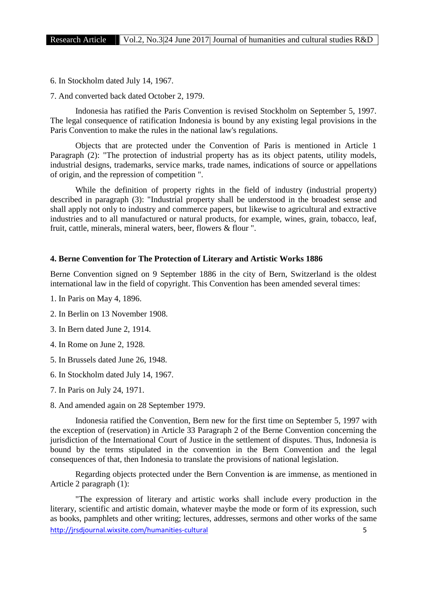6. In Stockholm dated July 14, 1967.

7. And converted back dated October 2, 1979.

Indonesia has ratified the Paris Convention is revised Stockholm on September 5, 1997. The legal consequence of ratification Indonesia is bound by any existing legal provisions in the Paris Convention to make the rules in the national law's regulations.

Objects that are protected under the Convention of Paris is mentioned in Article 1 Paragraph (2): "The protection of industrial property has as its object patents, utility models, industrial designs, trademarks, service marks, trade names, indications of source or appellations of origin, and the repression of competition ".

While the definition of property rights in the field of industry (industrial property) described in paragraph (3): "Industrial property shall be understood in the broadest sense and shall apply not only to industry and commerce papers, but likewise to agricultural and extractive industries and to all manufactured or natural products, for example, wines, grain, tobacco, leaf, fruit, cattle, minerals, mineral waters, beer, flowers & flour ".

# **4. Berne Convention for The Protection of Literary and Artistic Works 1886**

Berne Convention signed on 9 September 1886 in the city of Bern, Switzerland is the oldest international law in the field of copyright. This Convention has been amended several times:

- 1. In Paris on May 4, 1896.
- 2. In Berlin on 13 November 1908.
- 3. In Bern dated June 2, 1914.
- 4. In Rome on June 2, 1928.
- 5. In Brussels dated June 26, 1948.
- 6. In Stockholm dated July 14, 1967.
- 7. In Paris on July 24, 1971.
- 8. And amended again on 28 September 1979.

Indonesia ratified the Convention, Bern new for the first time on September 5, 1997 with the exception of (reservation) in Article 33 Paragraph 2 of the Berne Convention concerning the jurisdiction of the International Court of Justice in the settlement of disputes. Thus, Indonesia is bound by the terms stipulated in the convention in the Bern Convention and the legal consequences of that, then Indonesia to translate the provisions of national legislation.

Regarding objects protected under the Bern Convention is are immense, as mentioned in Article 2 paragraph (1):

http://irsdiournal.wixsite.com/humanities-cultural 5 "The expression of literary and artistic works shall include every production in the literary, scientific and artistic domain, whatever maybe the mode or form of its expression, such as books, pamphlets and other writing; lectures, addresses, sermons and other works of the same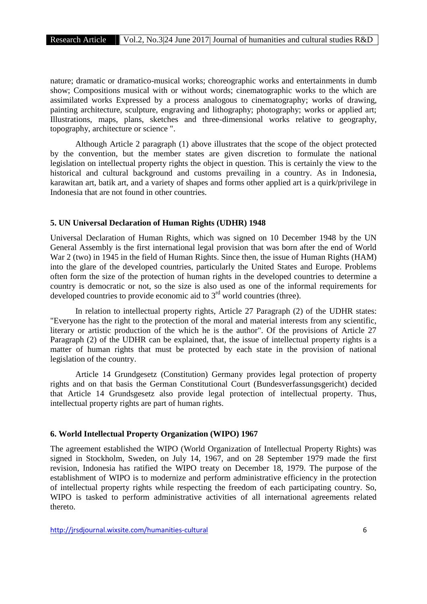nature; dramatic or dramatico-musical works; choreographic works and entertainments in dumb show; Compositions musical with or without words; cinematographic works to the which are assimilated works Expressed by a process analogous to cinematography; works of drawing, painting architecture, sculpture, engraving and lithography; photography; works or applied art; Illustrations, maps, plans, sketches and three-dimensional works relative to geography, topography, architecture or science ".

Although Article 2 paragraph (1) above illustrates that the scope of the object protected by the convention, but the member states are given discretion to formulate the national legislation on intellectual property rights the object in question. This is certainly the view to the historical and cultural background and customs prevailing in a country. As in Indonesia, karawitan art, batik art, and a variety of shapes and forms other applied art is a quirk/privilege in Indonesia that are not found in other countries.

### **5. UN Universal Declaration of Human Rights (UDHR) 1948**

Universal Declaration of Human Rights, which was signed on 10 December 1948 by the UN General Assembly is the first international legal provision that was born after the end of World War 2 (two) in 1945 in the field of Human Rights. Since then, the issue of Human Rights (HAM) into the glare of the developed countries, particularly the United States and Europe. Problems often form the size of the protection of human rights in the developed countries to determine a country is democratic or not, so the size is also used as one of the informal requirements for developed countries to provide economic aid to 3<sup>rd</sup> world countries (three).

In relation to intellectual property rights, Article 27 Paragraph (2) of the UDHR states: "Everyone has the right to the protection of the moral and material interests from any scientific, literary or artistic production of the which he is the author". Of the provisions of Article 27 Paragraph (2) of the UDHR can be explained, that, the issue of intellectual property rights is a matter of human rights that must be protected by each state in the provision of national legislation of the country.

Article 14 Grundgesetz (Constitution) Germany provides legal protection of property rights and on that basis the German Constitutional Court (Bundesverfassungsgericht) decided that Article 14 Grundsgesetz also provide legal protection of intellectual property. Thus, intellectual property rights are part of human rights.

#### **6. World Intellectual Property Organization (WIPO) 1967**

The agreement established the WIPO (World Organization of Intellectual Property Rights) was signed in Stockholm, Sweden, on July 14, 1967, and on 28 September 1979 made the first revision, Indonesia has ratified the WIPO treaty on December 18, 1979. The purpose of the establishment of WIPO is to modernize and perform administrative efficiency in the protection of intellectual property rights while respecting the freedom of each participating country. So, WIPO is tasked to perform administrative activities of all international agreements related thereto.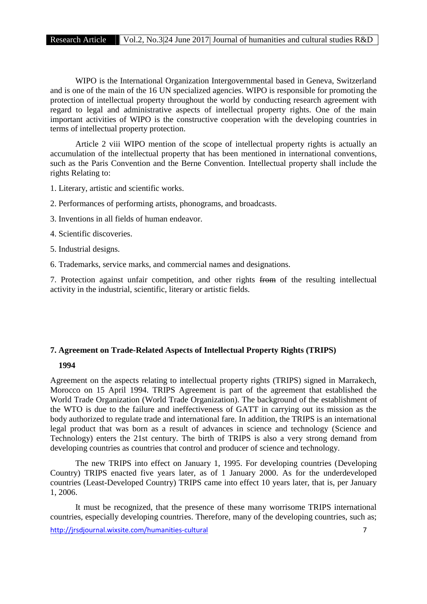WIPO is the International Organization Intergovernmental based in Geneva, Switzerland and is one of the main of the 16 UN specialized agencies. WIPO is responsible for promoting the protection of intellectual property throughout the world by conducting research agreement with regard to legal and administrative aspects of intellectual property rights. One of the main important activities of WIPO is the constructive cooperation with the developing countries in terms of intellectual property protection.

Article 2 viii WIPO mention of the scope of intellectual property rights is actually an accumulation of the intellectual property that has been mentioned in international conventions, such as the Paris Convention and the Berne Convention. Intellectual property shall include the rights Relating to:

1. Literary, artistic and scientific works.

- 2. Performances of performing artists, phonograms, and broadcasts.
- 3. Inventions in all fields of human endeavor.
- 4. Scientific discoveries.
- 5. Industrial designs.
- 6. Trademarks, service marks, and commercial names and designations.

7. Protection against unfair competition, and other rights from of the resulting intellectual activity in the industrial, scientific, literary or artistic fields.

# **7. Agreement on Trade-Related Aspects of Intellectual Property Rights (TRIPS)**

# **1994**

Agreement on the aspects relating to intellectual property rights (TRIPS) signed in Marrakech, Morocco on 15 April 1994. TRIPS Agreement is part of the agreement that established the World Trade Organization (World Trade Organization). The background of the establishment of the WTO is due to the failure and ineffectiveness of GATT in carrying out its mission as the body authorized to regulate trade and international fare. In addition, the TRIPS is an international legal product that was born as a result of advances in science and technology (Science and Technology) enters the 21st century. The birth of TRIPS is also a very strong demand from developing countries as countries that control and producer of science and technology.

The new TRIPS into effect on January 1, 1995. For developing countries (Developing Country) TRIPS enacted five years later, as of 1 January 2000. As for the underdeveloped countries (Least-Developed Country) TRIPS came into effect 10 years later, that is, per January 1, 2006.

http://jrsdjournal.wixsite.com/humanities-cultural 7 It must be recognized, that the presence of these many worrisome TRIPS international countries, especially developing countries. Therefore, many of the developing countries, such as;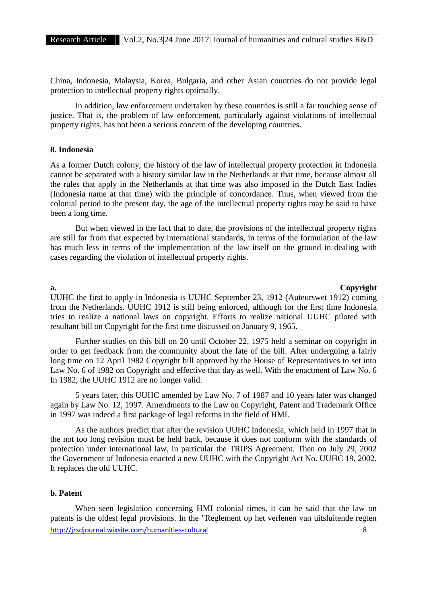China, Indonesia, Malaysia, Korea, Bulgaria, and other Asian countries do not provide legal protection to intellectual property rights optimally.

In addition, law enforcement undertaken by these countries is still a far touching sense of justice. That is, the problem of law enforcement, particularly against violations of intellectual property rights, has not been a serious concern of the developing countries.

# **8. Indonesia**

As a former Dutch colony, the history of the law of intellectual property protection in Indonesia cannot be separated with a history similar law in the Netherlands at that time, because almost all the rules that apply in the Netherlands at that time was also imposed in the Dutch East Indies (Indonesia name at that time) with the principle of concordance. Thus, when viewed from the colonial period to the present day, the age of the intellectual property rights may be said to have been a long time.

But when viewed in the fact that to date, the provisions of the intellectual property rights are still far from that expected by international standards, in terms of the formulation of the law has much less in terms of the implementation of the law itself on the ground in dealing with cases regarding the violation of intellectual property rights.

**a. Copyright**

UUHC the first to apply in Indonesia is UUHC September 23, 1912 (Auteurswet 1912) coming from the Netherlands. UUHC 1912 is still being enforced, although for the first time Indonesia tries to realize a national laws on copyright. Efforts to realize national UUHC piloted with resultant bill on Copyright for the first time discussed on January 9, 1965.

Further studies on this bill on 20 until October 22, 1975 held a seminar on copyright in order to get feedback from the community about the fate of the bill. After undergoing a fairly long time on 12 April 1982 Copyright bill approved by the House of Representatives to set into Law No. 6 of 1982 on Copyright and effective that day as well. With the enactment of Law No. 6 In 1982, the UUHC 1912 are no longer valid.

5 years later, this UUHC amended by Law No. 7 of 1987 and 10 years later was changed again by Law No. 12, 1997. Amendments to the Law on Copyright, Patent and Trademark Office in 1997 was indeed a first package of legal reforms in the field of HMI.

As the authors predict that after the revision UUHC Indonesia, which held in 1997 that in the not too long revision must be held back, because it does not conform with the standards of protection under international law, in particular the TRIPS Agreement. Then on July 29, 2002 the Government of Indonesia enacted a new UUHC with the Copyright Act No. UUHC 19, 2002. It replaces the old UUHC.

## **b. Patent**

http://jrsdjournal.wixsite.com/humanities-cultural 8 When seen legislation concerning HMI colonial times, it can be said that the law on patents is the oldest legal provisions. In the "Reglement op het verlenen van uitsluitende regten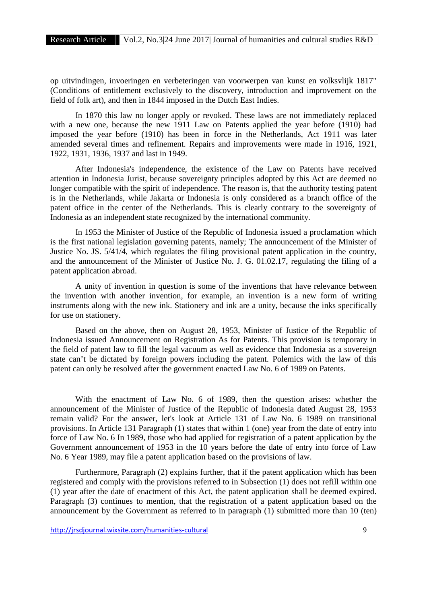op uitvindingen, invoeringen en verbeteringen van voorwerpen van kunst en volksvlijk 1817" (Conditions of entitlement exclusively to the discovery, introduction and improvement on the field of folk art), and then in 1844 imposed in the Dutch East Indies.

In 1870 this law no longer apply or revoked. These laws are not immediately replaced with a new one, because the new 1911 Law on Patents applied the year before (1910) had imposed the year before (1910) has been in force in the Netherlands, Act 1911 was later amended several times and refinement. Repairs and improvements were made in 1916, 1921, 1922, 1931, 1936, 1937 and last in 1949.

After Indonesia's independence, the existence of the Law on Patents have received attention in Indonesia Jurist, because sovereignty principles adopted by this Act are deemed no longer compatible with the spirit of independence. The reason is, that the authority testing patent is in the Netherlands, while Jakarta or Indonesia is only considered as a branch office of the patent office in the center of the Netherlands. This is clearly contrary to the sovereignty of Indonesia as an independent state recognized by the international community.

In 1953 the Minister of Justice of the Republic of Indonesia issued a proclamation which is the first national legislation governing patents, namely; The announcement of the Minister of Justice No. JS. 5/41/4, which regulates the filing provisional patent application in the country, and the announcement of the Minister of Justice No. J. G. 01.02.17, regulating the filing of a patent application abroad.

A unity of invention in question is some of the inventions that have relevance between the invention with another invention, for example, an invention is a new form of writing instruments along with the new ink. Stationery and ink are a unity, because the inks specifically for use on stationery.

Based on the above, then on August 28, 1953, Minister of Justice of the Republic of Indonesia issued Announcement on Registration As for Patents. This provision is temporary in the field of patent law to fill the legal vacuum as well as evidence that Indonesia as a sovereign state can't be dictated by foreign powers including the patent. Polemics with the law of this patent can only be resolved after the government enacted Law No. 6 of 1989 on Patents.

With the enactment of Law No. 6 of 1989, then the question arises: whether the announcement of the Minister of Justice of the Republic of Indonesia dated August 28, 1953 remain valid? For the answer, let's look at Article 131 of Law No. 6 1989 on transitional provisions. In Article 131 Paragraph (1) states that within 1 (one) year from the date of entry into force of Law No. 6 In 1989, those who had applied for registration of a patent application by the Government announcement of 1953 in the 10 years before the date of entry into force of Law No. 6 Year 1989, may file a patent application based on the provisions of law.

Furthermore, Paragraph (2) explains further, that if the patent application which has been registered and comply with the provisions referred to in Subsection (1) does not refill within one (1) year after the date of enactment of this Act, the patent application shall be deemed expired. Paragraph (3) continues to mention, that the registration of a patent application based on the announcement by the Government as referred to in paragraph (1) submitted more than 10 (ten)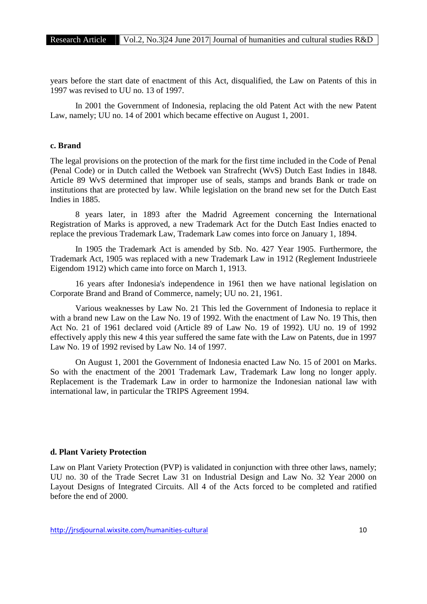years before the start date of enactment of this Act, disqualified, the Law on Patents of this in 1997 was revised to UU no. 13 of 1997.

In 2001 the Government of Indonesia, replacing the old Patent Act with the new Patent Law, namely; UU no. 14 of 2001 which became effective on August 1, 2001.

# **c. Brand**

The legal provisions on the protection of the mark for the first time included in the Code of Penal (Penal Code) or in Dutch called the Wetboek van Strafrecht (WvS) Dutch East Indies in 1848. Article 89 WvS determined that improper use of seals, stamps and brands Bank or trade on institutions that are protected by law. While legislation on the brand new set for the Dutch East Indies in 1885.

8 years later, in 1893 after the Madrid Agreement concerning the International Registration of Marks is approved, a new Trademark Act for the Dutch East Indies enacted to replace the previous Trademark Law, Trademark Law comes into force on January 1, 1894.

In 1905 the Trademark Act is amended by Stb. No. 427 Year 1905. Furthermore, the Trademark Act, 1905 was replaced with a new Trademark Law in 1912 (Reglement Industrieele Eigendom 1912) which came into force on March 1, 1913.

16 years after Indonesia's independence in 1961 then we have national legislation on Corporate Brand and Brand of Commerce, namely; UU no. 21, 1961.

Various weaknesses by Law No. 21 This led the Government of Indonesia to replace it with a brand new Law on the Law No. 19 of 1992. With the enactment of Law No. 19 This, then Act No. 21 of 1961 declared void (Article 89 of Law No. 19 of 1992). UU no. 19 of 1992 effectively apply this new 4 this year suffered the same fate with the Law on Patents, due in 1997 Law No. 19 of 1992 revised by Law No. 14 of 1997.

On August 1, 2001 the Government of Indonesia enacted Law No. 15 of 2001 on Marks. So with the enactment of the 2001 Trademark Law, Trademark Law long no longer apply. Replacement is the Trademark Law in order to harmonize the Indonesian national law with international law, in particular the TRIPS Agreement 1994.

#### **d. Plant Variety Protection**

Law on Plant Variety Protection (PVP) is validated in conjunction with three other laws, namely; UU no. 30 of the Trade Secret Law 31 on Industrial Design and Law No. 32 Year 2000 on Layout Designs of Integrated Circuits. All 4 of the Acts forced to be completed and ratified before the end of 2000.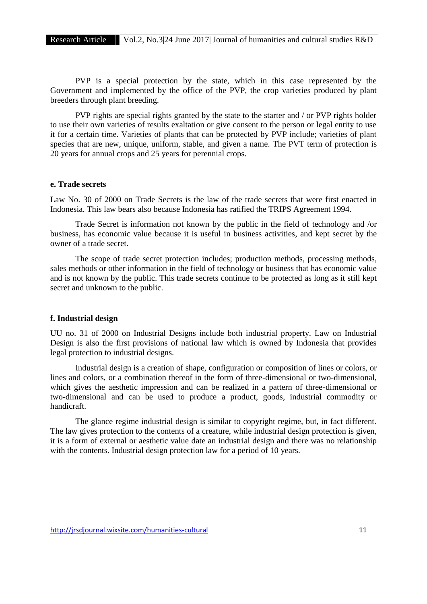PVP is a special protection by the state, which in this case represented by the Government and implemented by the office of the PVP, the crop varieties produced by plant breeders through plant breeding.

PVP rights are special rights granted by the state to the starter and / or PVP rights holder to use their own varieties of results exaltation or give consent to the person or legal entity to use it for a certain time. Varieties of plants that can be protected by PVP include; varieties of plant species that are new, unique, uniform, stable, and given a name. The PVT term of protection is 20 years for annual crops and 25 years for perennial crops.

# **e. Trade secrets**

Law No. 30 of 2000 on Trade Secrets is the law of the trade secrets that were first enacted in Indonesia. This law bears also because Indonesia has ratified the TRIPS Agreement 1994.

Trade Secret is information not known by the public in the field of technology and /or business, has economic value because it is useful in business activities, and kept secret by the owner of a trade secret.

The scope of trade secret protection includes; production methods, processing methods, sales methods or other information in the field of technology or business that has economic value and is not known by the public. This trade secrets continue to be protected as long as itstill kept secret and unknown to the public.

# **f. Industrial design**

UU no. 31 of 2000 on Industrial Designs include both industrial property. Law on Industrial Design is also the first provisions of national law which is owned by Indonesia that provides legal protection to industrial designs.

Industrial design is a creation of shape, configuration or composition of lines or colors, or lines and colors, or a combination thereof in the form of three-dimensional or two-dimensional, which gives the aesthetic impression and can be realized in a pattern of three-dimensional or two-dimensional and can be used to produce a product, goods, industrial commodity or handicraft.

The glance regime industrial design is similar to copyright regime, but, in fact different. The law gives protection to the contents of a creature, while industrial design protection is given, it is a form of external or aesthetic value date an industrial design and there was no relationship with the contents. Industrial design protection law for a period of 10 years.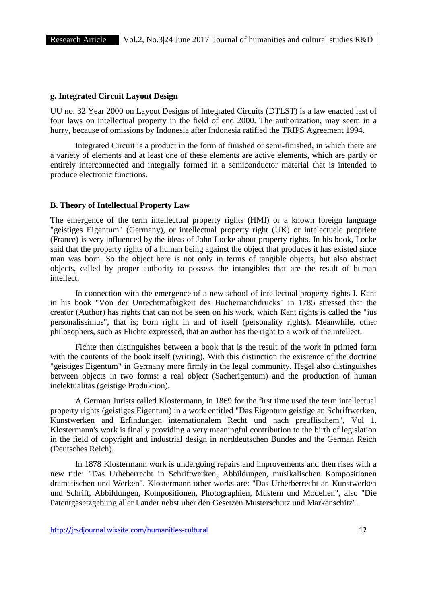#### **g. Integrated Circuit Layout Design**

UU no. 32 Year 2000 on Layout Designs of Integrated Circuits (DTLST) is a law enacted lastof four laws on intellectual property in the field of end 2000. The authorization, may seem in a hurry, because of omissions by Indonesia after Indonesia ratified the TRIPS Agreement 1994.

Integrated Circuit is a product in the form of finished or semi-finished, in which there are a variety of elements and at least one of these elements are active elements, which are partly or entirely interconnected and integrally formed in a semiconductor material that is intended to produce electronic functions.

#### **B. Theory of Intellectual Property Law**

The emergence of the term intellectual property rights (HMI) or a known foreign language "geistiges Eigentum" (Germany), or intellectual property right (UK) or intelectuele propriete (France) is very influenced by the ideas of John Locke about property rights. In his book, Locke said that the property rights of a human being against the object that produces it has existed since man was born. So the object here is not only in terms of tangible objects, but also abstract objects, called by proper authority to possess the intangibles that are the result of human intellect.

In connection with the emergence of a new school of intellectual property rights I. Kant in his book "Von der Unrechtmafbigkeit des Buchernarchdrucks" in 1785 stressed that the creator (Author) has rights that can not be seen on his work, which Kant rights is called the "ius personalissimus", that is; born right in and of itself (personality rights). Meanwhile, other philosophers, such as Flichte expressed, that an author has the right to a work of the intellect.

Fichte then distinguishes between a book that is the result of the work in printed form with the contents of the book itself (writing). With this distinction the existence of the doctrine "geistiges Eigentum" in Germany more firmly in the legal community. Hegel also distinguishes between objects in two forms: a real object (Sacherigentum) and the production of human inelektualitas (geistige Produktion).

A German Jurists called Klostermann, in 1869 for the first time used the term intellectual property rights (geistiges Eigentum) in a work entitled "Das Eigentum geistige an Schriftwerken, Kunstwerken and Erfindungen internationalem Recht und nach preuflischem", Vol 1. Klostermann's work is finally providing a very meaningful contribution to the birth of legislation in the field of copyright and industrial design in norddeutschen Bundes and the German Reich (Deutsches Reich).

In 1878 Klostermann work is undergoing repairs and improvements and then rises with a new title: "Das Urheberrecht in Schriftwerken, Abbildungen, musikalischen Kompositionen dramatischen und Werken". Klostermann other works are: "Das Urherberrecht an Kunstwerken und Schrift, Abbildungen, Kompositionen, Photographien, Mustern und Modellen", also "Die Patentgesetzgebung aller Lander nebst uber den Gesetzen Musterschutz und Markenschitz".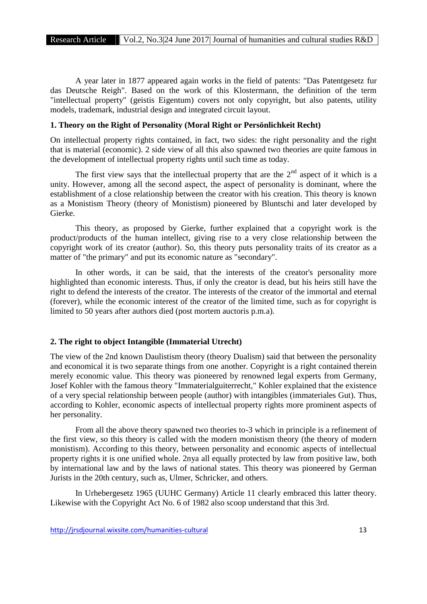A year later in 1877 appeared again works in the field of patents: "Das Patentgesetz fur das Deutsche Reigh". Based on the work of this Klostermann, the definition of the term "intellectual property" (geistis Eigentum) covers not only copyright, but also patents, utility models, trademark, industrial design and integrated circuit layout.

# **1. Theory on the Right of Personality (Moral Right or Persönlichkeit Recht)**

On intellectual property rights contained, in fact, two sides: the right personality and the right that is material (economic). 2 side view of all this also spawned two theories are quite famous in the development of intellectual property rights until such time as today.

The first view says that the intellectual property that are the  $2<sup>nd</sup>$  aspect of it which is a unity. However, among all the second aspect, the aspect of personality is dominant, where the establishment of a close relationship between the creator with his creation. This theory is known as a Monistism Theory (theory of Monistism) pioneered by Bluntschi and later developed by Gierke.

This theory, as proposed by Gierke, further explained that a copyright work is the product/products of the human intellect, giving rise to a very close relationship between the copyright work of its creator (author). So, this theory puts personality traits of its creator as a matter of "the primary" and put its economic nature as "secondary".

In other words, it can be said, that the interests of the creator's personality more highlighted than economic interests. Thus, if only the creator is dead, but his heirs still have the right to defend the interests of the creator. The interests of the creator of the immortal and eternal (forever), while the economic interest of the creator of the limited time, such as for copyright is limited to 50 years after authors died (post mortem auctoris p.m.a).

# **2. The right to object Intangible (Immaterial Utrecht)**

The view of the 2nd known Daulistism theory (theory Dualism) said that between the personality and economical it is two separate things from one another. Copyright is a right contained therein merely economic value. This theory was pioneered by renowned legal experts from Germany, Josef Kohler with the famous theory "Immaterialguiterrecht," Kohler explained that the existence of a very special relationship between people (author) with intangibles (immateriales Gut). Thus, according to Kohler, economic aspects of intellectual property rights more prominent aspects of her personality.

From all the above theory spawned two theories to-3 which in principle is a refinement of the first view, so this theory is called with the modern monistism theory (the theory of modern monistism). According to this theory, between personality and economic aspects of intellectual property rights it is one unified whole. 2nya all equally protected by law from positive law, both by international law and by the laws of national states. This theory was pioneered by German Jurists in the 20th century, such as, Ulmer, Schricker, and others.

In Urhebergesetz 1965 (UUHC Germany) Article 11 clearly embraced this latter theory. Likewise with the Copyright Act No. 6 of 1982 also scoop understand that this 3rd.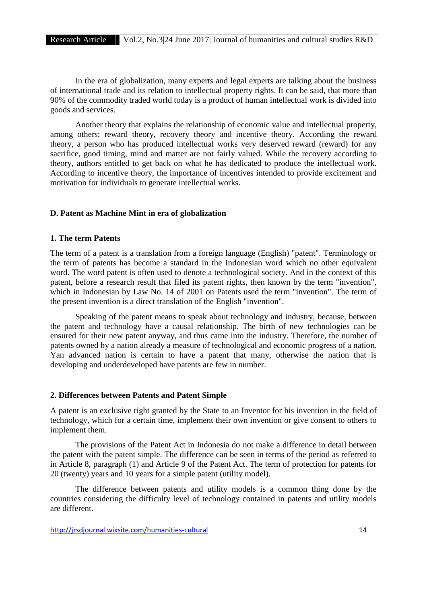In the era of globalization, many experts and legal experts are talking about the business of international trade and its relation to intellectual property rights. It can be said, that more than 90% of the commodity traded world today is a product of human intellectual work is divided into goods and services.

Another theory that explains the relationship of economic value and intellectual property, among others; reward theory, recovery theory and incentive theory. According the reward theory, a person who has produced intellectual works very deserved reward (reward) for any sacrifice, good timing, mind and matter are not fairly valued. While the recovery according to theory, authors entitled to get back on what he has dedicated to produce the intellectual work. According to incentive theory, the importance of incentives intended to provide excitement and motivation for individuals to generate intellectual works.

# **D. Patent as Machine Mint in era of globalization**

# **1. The term Patents**

The term of a patent is a translation from a foreign language (English) "patent". Terminology or the term of patents has become a standard in the Indonesian word which no other equivalent word. The word patent is often used to denote a technological society. And in the context of this patent, before a research result that filed its patent rights, then known by the term "invention", which in Indonesian by Law No. 14 of 2001 on Patents used the term "invention". The term of the present invention is a direct translation of the English "invention".

Speaking of the patent means to speak about technology and industry, because, between the patent and technology have a causal relationship. The birth of new technologies can be ensured for their new patent anyway, and thus came into the industry. Therefore, the number of patents owned by a nation already a measure of technological and economic progress of a nation. Yan advanced nation is certain to have a patent that many, otherwise the nation that is developing and underdeveloped have patents are few in number.

#### **2. Differences between Patents and Patent Simple**

A patent is an exclusive right granted by the State to an Inventor for his invention in the field of technology, which for a certain time, implement their own invention or give consent to others to implement them.

The provisions of the Patent Act in Indonesia do not make a difference in detail between the patent with the patent simple. The difference can be seen in terms of the period as referred to in Article 8, paragraph (1) and Article 9 of the Patent Act. The term of protection for patents for 20 (twenty) years and 10 years for a simple patent (utility model).

The difference between patents and utility models is a common thing done by the countries considering the difficulty level of technology contained in patents and utility models are different.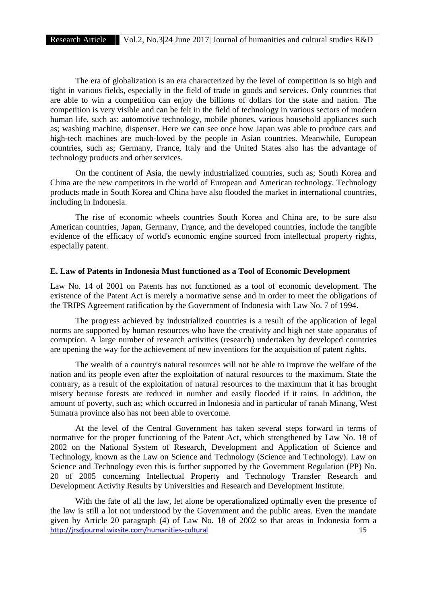The era of globalization is an era characterized by the level of competition is so high and tight in various fields, especially in the field of trade in goods and services. Only countries that are able to win a competition can enjoy the billions of dollars for the state and nation. The competition is very visible and can be felt in the field of technology in various sectors of modern human life, such as: automotive technology, mobile phones, various household appliances such as; washing machine, dispenser. Here we can see once how Japan was able to produce cars and high-tech machines are much-loved by the people in Asian countries. Meanwhile, European countries, such as; Germany, France, Italy and the United States also has the advantage of technology products and other services.

On the continent of Asia, the newly industrialized countries, such as; South Korea and China are the new competitors in the world of European and American technology. Technology products made in South Korea and China have also flooded the market in international countries, including in Indonesia.

The rise of economic wheels countries South Korea and China are, to be sure also American countries, Japan, Germany, France, and the developed countries, include the tangible evidence of the efficacy of world's economic engine sourced from intellectual property rights, especially patent.

# **E. Law of Patents in Indonesia Must functioned as a Tool of Economic Development**

Law No. 14 of 2001 on Patents has not functioned as a tool of economic development. The existence of the Patent Act is merely a normative sense and in order to meet the obligations of the TRIPS Agreement ratification by the Government of Indonesia with Law No. 7 of 1994.

The progress achieved by industrialized countries is a result of the application of legal norms are supported by human resources who have the creativity and high net state apparatus of corruption. A large number of research activities (research) undertaken by developed countries are opening the way for the achievement of new inventions for the acquisition of patent rights.

The wealth of a country's natural resources will not be able to improve the welfare of the nation and its people even after the exploitation of natural resources to the maximum. State the contrary, as a result of the exploitation of natural resources to the maximum that it has brought misery because forests are reduced in number and easily flooded if it rains. In addition, the amount of poverty, such as; which occurred in Indonesia and in particular of ranah Minang, West Sumatra province also has not been able to overcome.

At the level of the Central Government has taken several steps forward in terms of normative for the proper functioning of the Patent Act, which strengthened by Law No. 18 of 2002 on the National System of Research, Development and Application of Science and Technology, known as the Law on Science and Technology (Science and Technology). Law on Science and Technology even this is further supported by the Government Regulation (PP) No. 20 of 2005 concerning Intellectual Property and Technology Transfer Research and Development Activity Results by Universities and Research and Development Institute.

http://jrsdjournal.wixsite.com/humanities-cultural 15 With the fate of all the law, let alone be operationalized optimally even the presence of the law is still a lot not understood by the Government and the public areas. Even the mandate given by Article 20 paragraph (4) of Law No. 18 of 2002 so that areas in Indonesia form a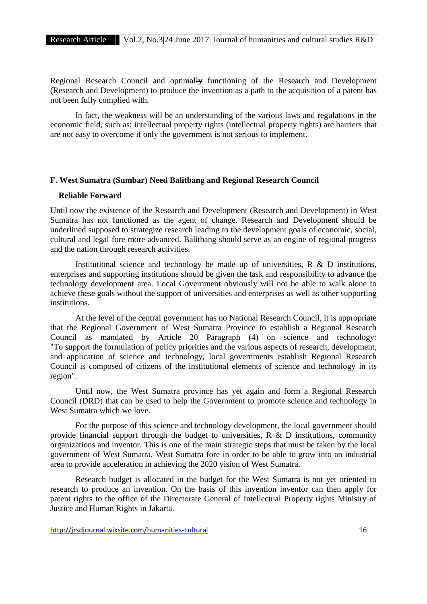Regional Research Council and optimally functioning of the Research and Development (Research and Development) to produce the invention as a path to the acquisition of a patent has not been fully complied with.

In fact, the weakness will be an understanding of the various laws and regulations in the economic field, such as; intellectual property rights (intellectual property rights) are barriers that are not easy to overcome if only the government is not serious to implement.

# **F. West Sumatra (Sumbar) Need Balitbang and Regional Research Council**

#### **Reliable Forward**

Until now the existence of the Research and Development (Research and Development) in West Sumatra has not functioned as the agent of change. Research and Development should be underlined supposed to strategize research leading to the development goals of economic, social, cultural and legal fore more advanced. Balitbang should serve as an engine of regional progress and the nation through research activities.

Institutional science and technology be made up of universities, R & D institutions, enterprises and supporting institutions should be given the task and responsibility to advance the technology development area. Local Government obviously will not be able to walk alone to achieve these goals without the support of universities and enterprises as well as other supporting institutions.

At the level of the central government has no National Research Council, it is appropriate that the Regional Government of West Sumatra Province to establish a Regional Research Council as mandated by Article 20 Paragraph (4) on science and technology: "To support the formulation of policy priorities and the various aspects of research, development, and application of science and technology, local governments establish Regional Research Council is composed of citizens of the institutional elements of science and technology in its region".<br>Until now, the West Sumatra province has yet again and form a Regional Research

Council (DRD) that can be used to help the Government to promote science and technology in West Sumatra which we love.

For the purpose of this science and technology development, the local government should provide financial support through the budget to universities, R & D institutions, community organizations and inventor. This is one of the main strategic steps that must be taken by the local government of West Sumatra, West Sumatra fore in order to be able to grow into an industrial area to provide acceleration in achieving the 2020 vision of West Sumatra.

Research budget is allocated in the budget for the West Sumatra is not yet oriented to research to produce an invention. On the basis of this invention inventor can then apply for patent rights to the office of the Directorate General of Intellectual Property rights Ministry of Justice and Human Rights in Jakarta.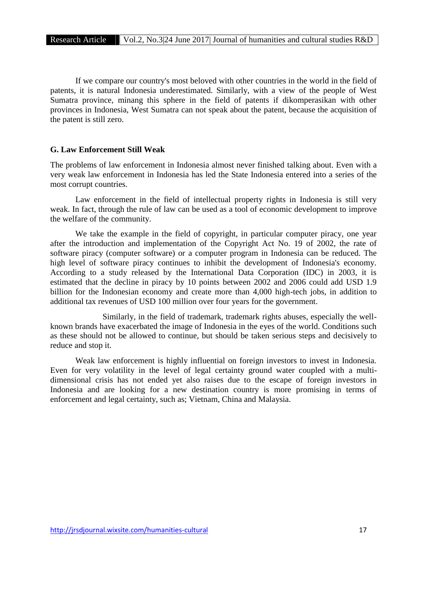If we compare our country's most beloved with other countries in the world in the field of patents, it is natural Indonesia underestimated. Similarly, with a view of the people of West Sumatra province, minang this sphere in the field of patents if dikomperasikan with other provinces in Indonesia, West Sumatra can not speak about the patent, because the acquisition of the patent is still zero.

# **G. Law Enforcement Still Weak**

The problems of law enforcement in Indonesia almost never finished talking about. Even with a very weak law enforcement in Indonesia has led the State Indonesia entered into a series of the most corrupt countries.

Law enforcement in the field of intellectual property rights in Indonesia is still very weak. In fact, through the rule of law can be used as a tool of economic development to improve the welfare of the community.

We take the example in the field of copyright, in particular computer piracy, one year after the introduction and implementation of the Copyright Act No. 19 of 2002, the rate of software piracy (computer software) or a computer program in Indonesia can be reduced. The high level of software piracy continues to inhibit the development of Indonesia's economy. According to a study released by the International Data Corporation (IDC) in 2003, it is estimated that the decline in piracy by 10 points between 2002 and 2006 could add USD 1.9 billion for the Indonesian economy and create more than 4,000 high-tech jobs, in addition to additional tax revenues of USD 100 million over four years for the government.

Similarly, in the field of trademark, trademark rights abuses, especially the well known brands have exacerbated the image of Indonesia in the eyes of the world. Conditions such as these should not be allowed to continue, but should be taken serious steps and decisively to reduce and stop it.

Weak law enforcement is highly influential on foreign investors to invest in Indonesia. Even for very volatility in the level of legal certainty ground water coupled with a multi dimensional crisis has not ended yet also raises due to the escape of foreign investors in Indonesia and are looking for a new destination country is more promising in terms of enforcement and legal certainty, such as; Vietnam, China and Malaysia.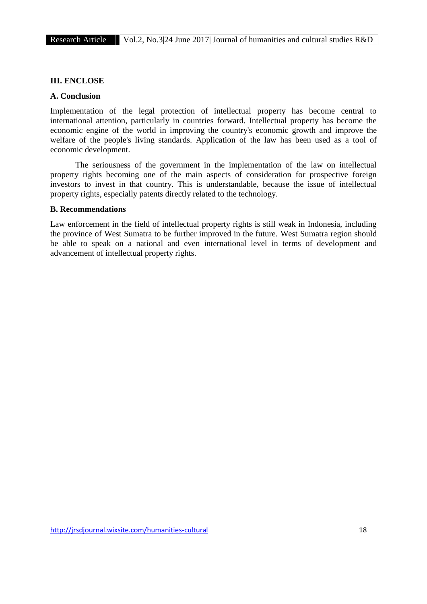# **III. ENCLOSE**

#### **A. Conclusion**

Implementation of the legal protection of intellectual property has become central to international attention, particularly in countries forward. Intellectual property has become the economic engine of the world in improving the country's economic growth and improve the welfare of the people's living standards. Application of the law has been used as a tool of economic development.

The seriousness of the government in the implementation of the law on intellectual property rights becoming one of the main aspects of consideration for prospective foreign investors to invest in that country. This is understandable, because the issue of intellectual property rights, especially patents directly related to the technology.

# **B. Recommendations**

Law enforcement in the field of intellectual property rights is still weak in Indonesia, including the province of West Sumatra to be further improved in the future. West Sumatra region should be able to speak on a national and even international level in terms of development and advancement of intellectual property rights.